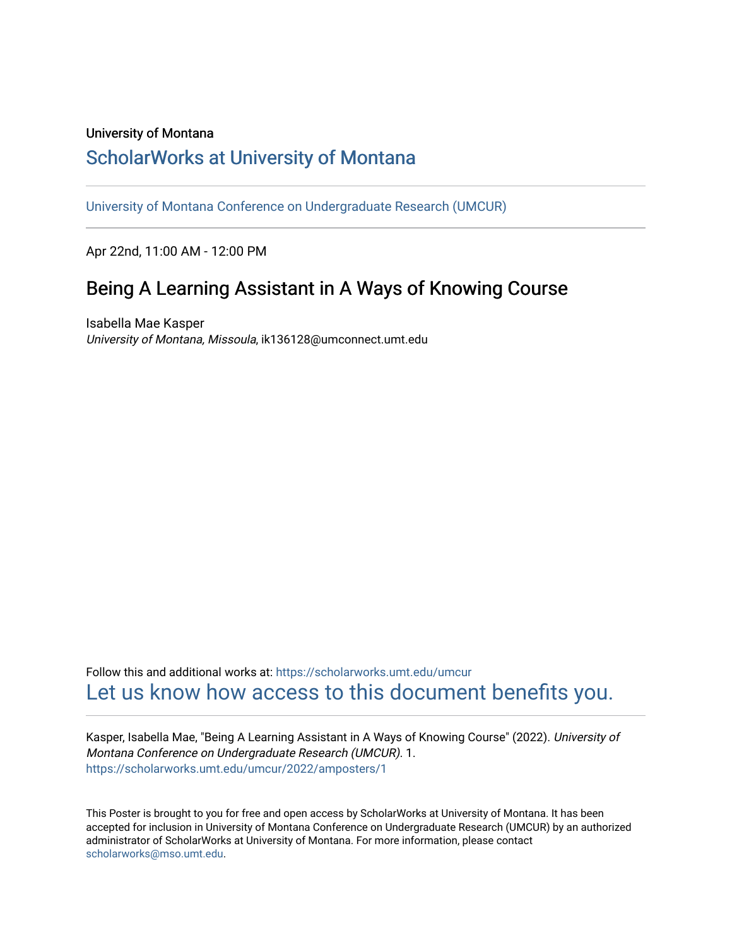#### University of Montana

#### [ScholarWorks at University of Montana](https://scholarworks.umt.edu/)

[University of Montana Conference on Undergraduate Research \(UMCUR\)](https://scholarworks.umt.edu/umcur)

Apr 22nd, 11:00 AM - 12:00 PM

### Being A Learning Assistant in A Ways of Knowing Course

Isabella Mae Kasper University of Montana, Missoula, ik136128@umconnect.umt.edu

Follow this and additional works at: [https://scholarworks.umt.edu/umcur](https://scholarworks.umt.edu/umcur?utm_source=scholarworks.umt.edu%2Fumcur%2F2022%2Famposters%2F1&utm_medium=PDF&utm_campaign=PDFCoverPages)  [Let us know how access to this document benefits you.](https://goo.gl/forms/s2rGfXOLzz71qgsB2) 

Kasper, Isabella Mae, "Being A Learning Assistant in A Ways of Knowing Course" (2022). University of Montana Conference on Undergraduate Research (UMCUR). 1. [https://scholarworks.umt.edu/umcur/2022/amposters/1](https://scholarworks.umt.edu/umcur/2022/amposters/1?utm_source=scholarworks.umt.edu%2Fumcur%2F2022%2Famposters%2F1&utm_medium=PDF&utm_campaign=PDFCoverPages) 

This Poster is brought to you for free and open access by ScholarWorks at University of Montana. It has been accepted for inclusion in University of Montana Conference on Undergraduate Research (UMCUR) by an authorized administrator of ScholarWorks at University of Montana. For more information, please contact [scholarworks@mso.umt.edu.](mailto:scholarworks@mso.umt.edu)